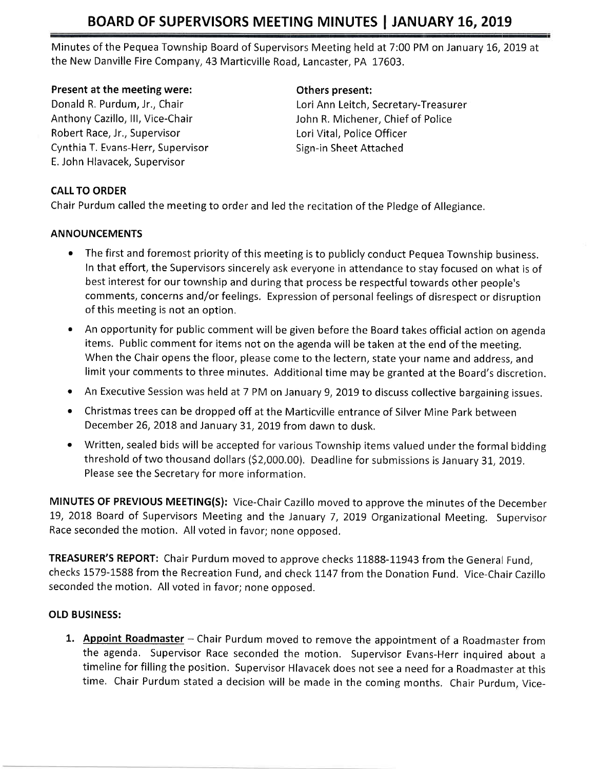Minutes of the Pequea Township Board of Supervisors Meeting held at 7:00 PM on January t6,2019 at the New Danville Fire Company,43 Marticville Road, Lancaster, PA 17603,

### Present at the meeting were:

Donald R. Purdum, Jr,, Chair Anthony Cazillo, lll, Vice-Chair Robert Race, Jr., Supervisor Cynthia T. Evans-Herr, Supervisor E. John Hlavacek, Supervisor

### Others present:

Lori Ann Leitch, Secretary-Treasurer John R. Michener, Chief of Police Lori Vital, Police Officer Sign-in Sheet Attached

## CALL TO ORDER

Chair Purdum called the meeting to order and led the recitation of the Pledge of Allegiance.

## ANNOUNCEMENTS

- The first and foremost priority of this meeting is to publicly conduct Pequea Township business. In that effort, the Supervisors sincerely ask everyone in attendance to stay focused on what is of best interest for our township and during that process be respectful towards other people's comments, concerns and/or feelings. Expression of personal feelings of disrespect or disruption of this meeting is not an option,
- An opportunity for public comment will be given before the Board takes official action on agenda items. Public comment for items not on the agenda will be taken at the end of the meeting. When the Chair opens the floor, please come to the lectern, state your name and address, and limit your comments to three minutes. Additional time may be granted at the Board's discretion.
- An Executive Session was held at 7 PM on January 9, 2019 to discuss collective bargaining issues.
- o Christmas trees can be dropped off at the Marticville entrance of Silver Mine Park between December 26, 2018 and January 31, 2019 from dawn to dusk.
- o Written, sealed bids will be accepted for various Township items valued under the formal bidding threshold of two thousand dollars (\$2,000.00). Deadline for submissions is January 31, 2019. Please see the Secretary for more information.

MINUTES OF PREVIOUS MEETING(S): Vice-Chair Cazillo moved to approve the minutes of the December 19, 2018 Board of Supervisors Meeting and the January 7, 2019 Organizational Meeting. Supervisor Race seconded the motion. All voted in favor; none opposed.

TREASURER'S REPORT: Chair Purdum moved to approve checks 11888-11943 from the General Fund, checks L579-1588 from the Recreation Fund, and check L1.47 from the Donation Fund, Vice-Chair Cazillo seconded the motion, All voted in favor; none opposed.

## OLD BUSINESS:

1. Appoint Roadmaster - Chair Purdum moved to remove the appointment of a Roadmaster from the agenda. Supervisor Race seconded the motion. Supervisor Evans-Herr inquired about <sup>a</sup> timeline for filling the position. Supervisor Hlavacek does not see a need for a Roadmaster at this time. Chair Purdum stated a decision will be made in the coming months, Chair purdum, Vice-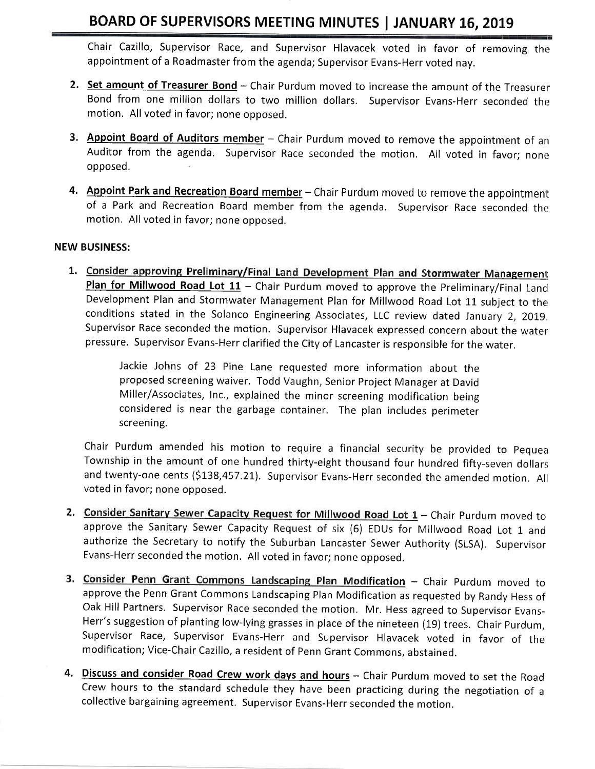Chair Cazillo, Supervisor Race, and Supervisor Hlavacek voted in favor of removing the appointment of a Roadmaster from the agenda; Supervisor Evans-Herr voted nay.

- 2. Set amount of Treasurer Bond Chair Purdum moved to increase the amount of the Treasurer Bond from one million dollars to two million dollars. Supervisor Evans-Herr seconded the motion. All voted in favor; none opposed.
- 3. Appoint Board of Auditors member Chair Purdum moved to remove the appointment of an Auditor from the agenda. Supervisor Race seconded the motion, All voted in favor: none opposed.
- 4. Appoint Park and Recreation Board member Chair Purdum moved to remove the appointment of a Park and Recreation Board member from the agenda. Supervisor Race seconded the motion. All voted in favor; none opposed,

### NEW BUSINESS:

1. Consider approving Preliminary/Final Land Development Plan and Stormwater Management Plan for Millwood Road Lot  $11$  - Chair Purdum moved to approve the Preliminary/Final Land Development Plan and Stormwater Management Plan for Millwood Road Lot 11 subject to the conditions stated in the Solanco Engineering Associates, LLC review dated January 2, 2019. Supervisor Race seconded the motion. Supervisor Hlavacek expressed concern about the water pressure. Supervisor Evans-Herr clarified the City of Lancaster is responsible for the water.

> Jackie Johns of 23 Pine Lane requested more information about the proposed screening waiver. Todd Vaughn, Senior Project Manager at David Miller/Associates, Inc., explained the minor screening modification being considered is near the garbage container. The plan includes perimeter screening.

Chair Purdum amended his motion to require a financial security be provided to Pequea Township in the amount of one hundred thirty-eight thousand four hundred fifty-seven dollars and twenty-one cents (5L38,457,21). Supervisor Evans-Herr seconded the amended motion. All voted in favor; none opposed.

- 2. Consider Sanitary Sewer Capacity Request for Millwood Road Lot  $1$  Chair Purdum moved to approve the Sanitary Sewer Capacity Request of six (6) EDUs for Millwood Road Lot 1 and authorize the Secretary to notify the Suburban Lancaster Sewer Authority (SLSA). Supervisor Evans-Herr seconded the motion. All voted in favor; none opposed.
- 3. Consider Penn Grant Commons Landscaping Plan Modification Chair Purdum moved to approve the Penn Grant Commons Landscaping Plan Modification as requested by Randy Hess of Oak Hill Partners. Supervisor Race seconded the motion. Mr. Hess agreed to Supervisor Evans-Herr's suggestion of planting low-lying grasses in place of the nineteen (19) trees. Chair Purdum, Supervisor Race, Supervisor Evans-Herr and Supervisor Hlavacek voted in favor of the modification; Vice-Chair Cazillo, a resident of Penn Grant Commons, abstained.
- 4. Discuss and consider Road Crew work days and hours Chair Purdum moved to set the Road Crew hours to the standard schedule they have been practicing during the negotiation of <sup>a</sup> collective bargaining agreement, Supervisor Evans-Herr seconded the motion.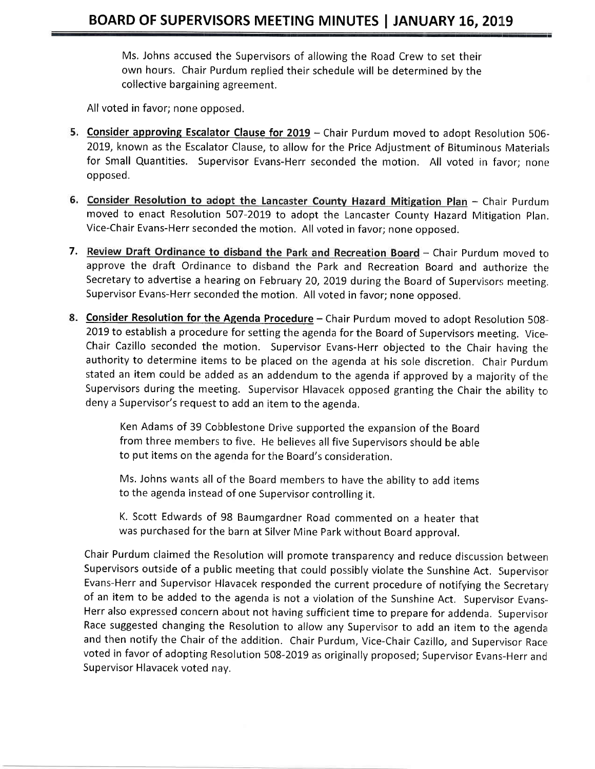Ms, Johns accused the Supervisors of allowing the Road Crew to set their own hours. Chair Purdum replied their schedule will be determined by the collective bargaining agreement.

All voted in favor; none opposed,

- 5. Consider approving Escalator Clause for 2019 Chair Purdum moved to adopt Resolution 506-2019, known as the Escalator Clause, to allow for the Price Adjustment of Bituminous Materials for Small Quantities. Supervisor Evans-Herr seconded the motion. All voted in favor; none opposed.
- 6. Consider Resolution to adopt the Lancaster County Hazard Mitigation Plan Chair Purdum moved to enact Resolution 507-2019 to adopt the Lancaster County Hazard Mitigation Plan. Vice-Chair Evans-Herr seconded the motion. All voted in favor; none opposed.
- 7. Review Draft Ordinance to disband the Park and Recreation Board Chair Purdum moved to approve the draft Ordinance to disband the Park and Recreation Board and authorize the Secretary to advertise a hearing on February 20, 2019 during the Board of Supervisors meeting. supervisor Evans-Herr seconded the motion, All voted in favor; none opposed.
- 8. Consider Resolution for the Agenda Procedure Chair Purdum moved to adopt Resolution 508-2019 to establish a procedure for setting the agenda for the Board of Supervisors meeting. Vice-Chair Cazillo seconded the motion. Supervisor Evans-Herr objected to the Chair having ther authority to determine items to be placed on the agenda at his sole discretion. Chair Purdum stated an item could be added as an addendum to the agenda if approved by a majority of the Supervisors during the meeting. Supervisor Hlavacek opposed granting the Chair the ability to deny a Supervisor's request to add an item to the agenda,

Ken Adams of 39 Cobblestone Drive supported the expansion of the Board from three members to five. He believes all five Supervisors should be able to put items on the agenda for the Board's consideration.

Ms, Johns wants all of the Board members to have the ability to add items to the agenda instead of one Supervisor controlling it,

K. Scott Edwards of 98 Baumgardner Road commented on a heater that was purchased for the barn at Silver Mine Park without Board approval.

Chair Purdum claimed the Resolution will promote transparency and reduce discussion between Supervisors outside of a public meeting that could possibly violate the Sunshine Act. Supervisor Evans-Herr and Supervisor Hlavacek responded the current procedure of notifying the Secretary of an item to be added to the agenda is not a violation of the Sunshine Act. Supervisor Evans-Herr also expressed concern about not having sufficient time to prepare for addenda. Supervisor Race suggested changing the Resolution to allow any Supervisor to add an item to the agenda and then notify the Chair of the addition. Chair Purdum, Vice-Chair Cazillo, and Supervisor Race voted in favor of adopting Resolution 508-2019 as originally proposed; Supervisor Evans-Herr and Supervisor Hlavacek voted nay.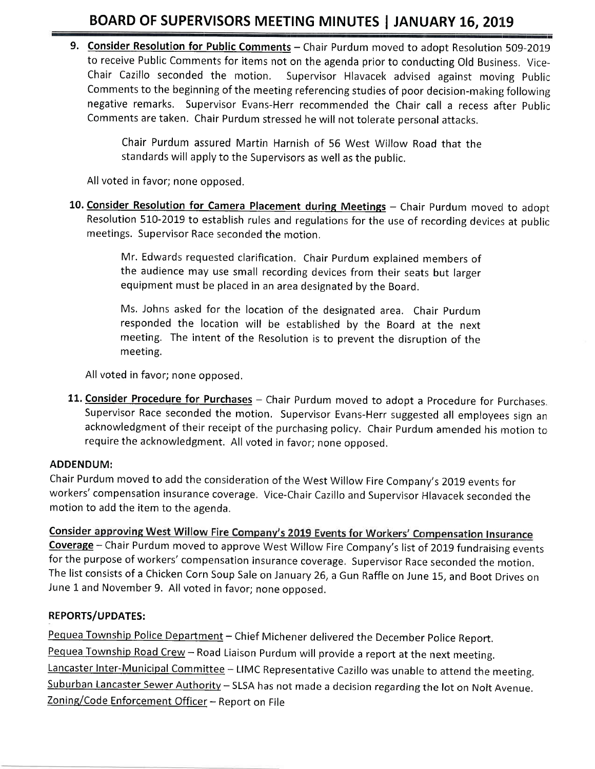9. Consider Resolution for Public Comments - Chair Purdum moved to adopt Resolution 509-2019 to receive Public Comments for items not on the agenda prior to conducting Old Business, Vice-Chair Cazillo seconded the motion. Supervisor Hlavacek advised against moving publir: Comments to the beginning of the meeting referencing studies of poor decision-making following negative remarks. Supervisor Evans-Herr recommended the Chair call a recess after Public Comments are taken. Chair Purdum stressed he will not tolerate personal attacks,

> Chair Purdum assured Martin Harnish of 56 West Willow Road that the standards will apply to the Supervisors as well as the public.

All voted in favor; none opposed,

10. Consider Resolution for Camera Placement during Meetings - Chair Purdum moved to adopt Resolution 510-2019 to establish rules and regulations for the use of recording devices at public meetings. Supervisor Race seconded the motion,

> Mr. Edwards requested clarification. Chair Purdum explained members of the audience may use small recording devices from their seats but larger equipment must be placed in an area designated by the Board.

> Ms, Johns asked for the location of the designated area. Chair Purdum responded the location will be established by the Board at the next meeting. The intent of the Resolution is to prevent the disruption of the meeting.

All voted in favor; none opposed.

11. Consider Procedure for Purchases - Chair Purdum moved to adopt a Procedure for Purchases. Supervisor Race seconded the motion, Supervisor Evans-Herr suggested all employees sign an acknowledgment of their receipt of the purchasing policy. Chair Purdum amended his motion to require the acknowledgment. All voted in favor; none opposed.

## ADDENDUM:

Chair Purdum moved to add the consideration of the West Willow Fire Company's 2019 events for workers' compensation insurance coverage. Vice-Chair Cazillo and Supervisor Hlavacek seconded the motion to add the item to the agenda.

Consider approving West Willow Fire Company's 2019 Events for Workers' Compensation Insurance Coverage - Chair Purdum moved to approve West Willow Fire Company's list of 2019 fundraising events for the purpose of workers' compensation insurance coverage. Supervisor Race seconded the motion. The list consists of a Chicken Corn Soup Sale on January 26, a Gun Raffle on June 15, and Boot Drives on June 1 and November 9. All voted in favor; none opposed.

## REPORTS/UPDATES:

Pequea Township Police Department - Chief Michener delivered the December Police Report. Pequea Township Road Crew - Road Liaison Purdum will provide a report at the next meeting. Lancaster Inter-Municipal Committee - LIMC Representative Cazillo was unable to attend the meeting. Suburban Lancaster Sewer Authority - SLSA has not made a decision regarding the lot on Nolt Avenue. Zoning/Code Enforcement Officer - Report on File